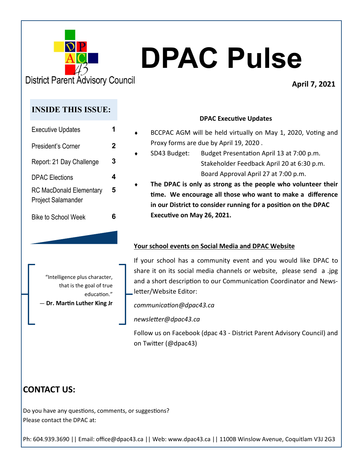

# **DPAC Pulse**

**District Parent Advisory Council** 

# **April 7, 2021**

# **INSIDE THIS ISSUE:**

| <b>Executive Updates</b>                                    |   |
|-------------------------------------------------------------|---|
| President's Corner                                          | 2 |
| Report: 21 Day Challenge                                    | 3 |
| <b>DPAC Elections</b>                                       | 4 |
| <b>RC MacDonald Elementary</b><br><b>Project Salamander</b> | 5 |
| Bike to School Week                                         |   |

# **DPAC Executive Updates**

- BCCPAC AGM will be held virtually on May 1, 2020, Voting and Proxy forms are due by April 19, 2020 .
- SD43 Budget: Budget Presentation April 13 at 7:00 p.m. Stakeholder Feedback April 20 at 6:30 p.m. Board Approval April 27 at 7:00 p.m.
- **The DPAC is only as strong as the people who volunteer their time. We encourage all those who want to make a difference in our District to consider running for a position on the DPAC Executive on May 26, 2021.**

# **Your school events on Social Media and DPAC Website**

"Intelligence plus character, that is the goal of true education." ― **Dr. Martin Luther King Jr** If your school has a community event and you would like DPAC to share it on its social media channels or website, please send a .jpg and a short description to our Communication Coordinator and Newsletter/Website Editor:

*communication@dpac43.ca* 

*newsletter@dpac43.ca*

Follow us on Facebook (dpac 43 - District Parent Advisory Council) and on Twitter (@dpac43)

# **CONTACT US:**

Do you have any questions, comments, or suggestions? Please contact the DPAC at: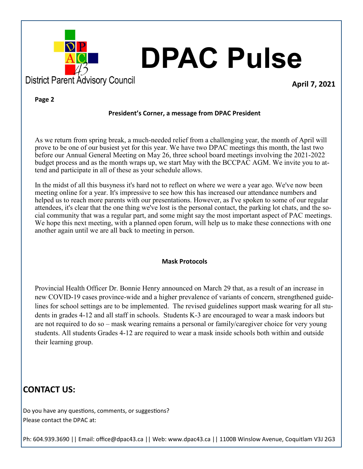

# **DPAC Pulse**

**April 7, 2021**

#### **Page 2**

### **President's Corner, a message from DPAC President**

As we return from spring break, a much-needed relief from a challenging year, the month of April will prove to be one of our busiest yet for this year. We have two DPAC meetings this month, the last two before our Annual General Meeting on May 26, three school board meetings involving the 2021-2022 budget process and as the month wraps up, we start May with the BCCPAC AGM. We invite you to attend and participate in all of these as your schedule allows.

In the midst of all this busyness it's hard not to reflect on where we were a year ago. We've now been meeting online for a year. It's impressive to see how this has increased our attendance numbers and helped us to reach more parents with our presentations. However, as I've spoken to some of our regular attendees, it's clear that the one thing we've lost is the personal contact, the parking lot chats, and the social community that was a regular part, and some might say the most important aspect of PAC meetings. We hope this next meeting, with a planned open forum, will help us to make these connections with one another again until we are all back to meeting in person.

### **Mask Protocols**

Provincial Health Officer Dr. Bonnie Henry announced on March 29 that, as a result of an increase in new COVID-19 cases province-wide and a higher prevalence of variants of concern, strengthened guidelines for school settings are to be implemented. The revised guidelines support mask wearing for all students in grades 4-12 and all staff in schools. Students K-3 are encouraged to wear a mask indoors but are not required to do so – mask wearing remains a personal or family/caregiver choice for very young students. All students Grades 4-12 are required to wear a mask inside schools both within and outside their learning group.

# **CONTACT US:**

Do you have any questions, comments, or suggestions? Please contact the DPAC at: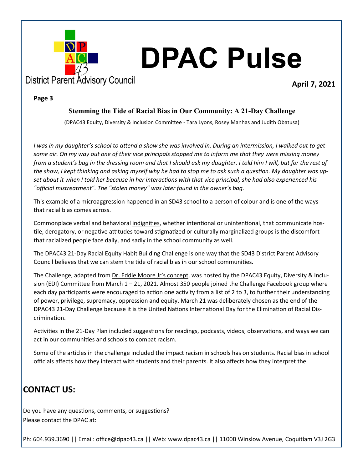

#### **Page 3**

### **Stemming the Tide of Racial Bias in Our Community: A 21-Day Challenge**

(DPAC43 Equity, Diversity & Inclusion Committee - Tara Lyons, Rosey Manhas and Judith Obatusa)

*I was in my daughter's school to attend a show she was involved in. During an intermission, I walked out to get some air. On my way out one of their vice principals stopped me to inform me that they were missing money from a student's bag in the dressing room and that I should ask my daughter. I told him I will, but for the rest of the show, I kept thinking and asking myself why he had to stop me to ask such a question. My daughter was upset about it when I told her because in her interactions with that vice principal, she had also experienced his "official mistreatment". The "stolen money" was later found in the owner's bag.* 

This example of a microaggression happened in an SD43 school to a person of colour and is one of the ways that racial bias comes across.

Commonplace verbal and behavioral [indignities,](https://en.wikipedia.org/wiki/Microaggression) whether intentional or unintentional, that communicate hostile, derogatory, or negative attitudes toward stigmatized or culturally marginalized groups is the discomfort that racialized people face daily, and sadly in the school community as well.

The DPAC43 21-Day Racial Equity Habit Building Challenge is one way that the SD43 District Parent Advisory Council believes that we can stem the tide of racial bias in our school communities.

The Challenge, adapted from [Dr. Eddie Moore Jr](https://www.eddiemoorejr.com/21daychallenge)'s concept, was hosted by the DPAC43 Equity, Diversity & Inclusion (EDI) Committee from March 1 – 21, 2021. Almost 350 people joined the Challenge Facebook group where each day participants were encouraged to action one activity from a list of 2 to 3, to further their understanding of power, privilege, supremacy, oppression and equity. March 21 was deliberately chosen as the end of the DPAC43 21-Day Challenge because it is the United Nations International Day for the Elimination of Racial Discrimination.

Activities in the 21-Day Plan included suggestions for readings, podcasts, videos, observations, and ways we can act in our communities and schools to combat racism.

Some of the articles in the challenge included the impact racism in schools has on students. Racial bias in school officials affects how they interact with students and their parents. It also affects how they interpret the

# **CONTACT US:**

Do you have any questions, comments, or suggestions? Please contact the DPAC at: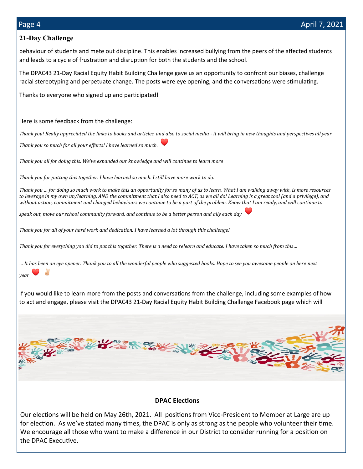# **21-Day Challenge**

behaviour of students and mete out discipline. This enables increased bullying from the peers of the affected students and leads to a cycle of frustration and disruption for both the students and the school.

The DPAC43 21-Day Racial Equity Habit Building Challenge gave us an opportunity to confront our biases, challenge racial stereotyping and perpetuate change. The posts were eye opening, and the conversations were stimulating.

Thanks to everyone who signed up and participated!

# Here is some feedback from the challenge:

*Thank you! Really appreciated the links to books and articles, and also to social media - it will bring in new thoughts and perspectives all year.*

*Thank you so much for all your efforts! I have learned so much.*

*Thank you all for doing this. We've expanded our knowledge and will continue to learn more*

*Thank you for putting this together. I have learned so much. I still have more work to do.*

*Thank you … for doing so much work to make this an opportunity for so many of us to learn. What I am walking away with, is more resources to leverage in my own un/learning, AND the commitment that I also need to ACT, as we all do! Learning is a great tool (and a privilege), and without action, commitment and changed behaviours we continue to be a part of the problem. Know that I am ready, and will continue to* 

*speak out, move our school community forward, and continue to be a better person and ally each day*

*Thank you for all of your hard work and dedication. I have learned a lot through this challenge!*

*Thank you for everything you did to put this together. There is a need to relearn and educate. I have taken so much from this…*

*… It has been an eye opener. Thank you to all the wonderful people who suggested books. Hope to see you awesome people on here next year*

If you would like to learn more from the posts and conversations from the challenge, including some examples of how to act and engage, please visit the DPAC43 21-[Day Racial Equity Habit Building Challenge](https://www.facebook.com/groups/158235196064201?modal=false&should_open_composer=false&hoisted_section_header_type=notifications) Facebook page which will



# **DPAC Elections**

Our elections will be held on May 26th, 2021. All positions from Vice-President to Member at Large are up for election. As we've stated many times, the DPAC is only as strong as the people who volunteer their time. We encourage all those who want to make a difference in our District to consider running for a position on the DPAC Executive.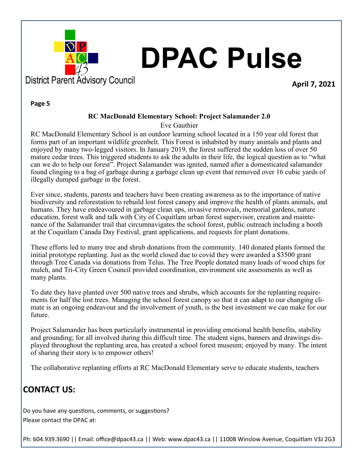

# **DPAC Pulse**

**April 7, 2021**

#### **Page 5**

#### **RC MacDonald Elementary School: Project Salamander 2.0**

Eve Gauthier

RC MacDonald Elementary School is an outdoor learning school located in a 150 year old forest that forms part of an important wildlife greenbelt. This Forest is inhabited by many animals and plants and enjoyed by many two-legged visitors. In January 2019, the forest suffered the sudden loss of over 50 mature cedar trees. This triggered students to ask the adults in their life, the logical question as to "what can we do to help our forest". Project Salamander was ignited, named after a domesticated salamander found clinging to a bag of garbage during a garbage clean up event that removed over 16 cubic yards of illegally dumped garbage in the forest.

Ever since, students, parents and teachers have been creating awareness as to the importance of native biodiversity and reforestation to rebuild lost forest canopy and improve the health of plants animals, and humans. They have endeavoured in garbage clean ups, invasive removals, memorial gardens, nature education, forest walk and talk with City of Coquitlam urban forest supervisor, creation and maintenance of the Salamander trail that circumnavigates the school forest, public outreach including a booth at the Coquitlam Canada Day Festival, grant applications, and requests for plant donations.

These efforts led to many tree and shrub donations from the community. 140 donated plants formed the initial prototype replanting. Just as the world closed due to covid they were awarded a \$3500 grant through Tree Canada via donations from Telus. The Tree People donated many loads of wood chips for mulch, and Tri-City Green Council provided coordination, environment site assessments as well as many plants.

To date they have planted over 500 native trees and shrubs, which accounts for the replanting requirements for half the lost trees. Managing the school forest canopy so that it can adapt to our changing climate is an ongoing endeavour and the involvement of youth, is the best investment we can make for our future.

Project Salamander has been particularly instrumental in providing emotional health benefits, stability and grounding; for all involved during this difficult time. The student signs, banners and drawings displayed throughout the replanting area, has created a school forest museum; enjoyed by many. The intent of sharing their story is to empower others!

The collaborative replanting efforts at RC MacDonald Elementary serve to educate students, teachers

# **CONTACT US:**

Do you have any questions, comments, or suggestions? Please contact the DPAC at: